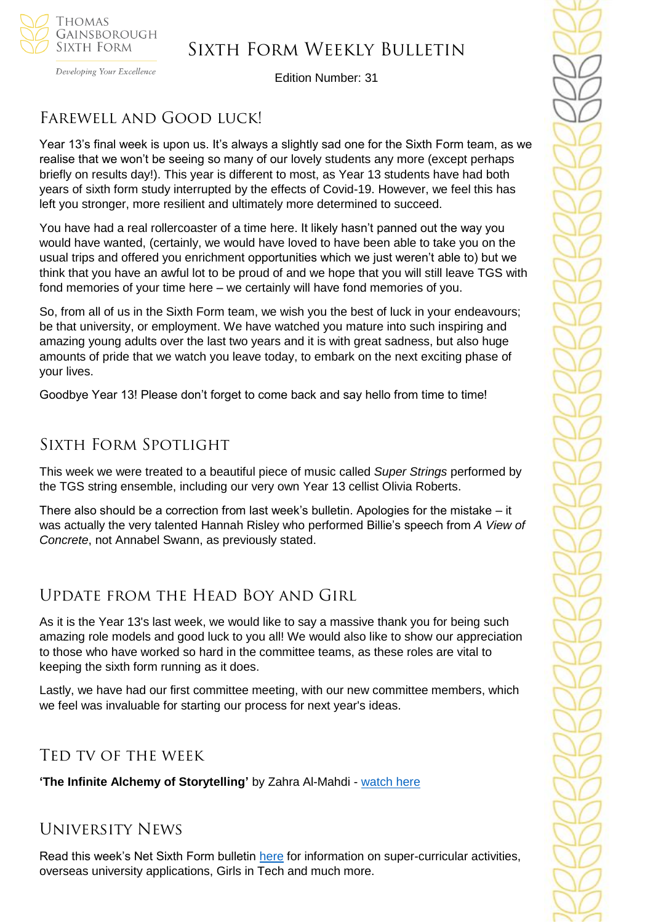

# Sixth Form Weekly Bulletin

Developing Your Excellence

Edition Number: 31

# Farewell and Good luck!

Year 13's final week is upon us. It's always a slightly sad one for the Sixth Form team, as we realise that we won't be seeing so many of our lovely students any more (except perhaps briefly on results day!). This year is different to most, as Year 13 students have had both years of sixth form study interrupted by the effects of Covid-19. However, we feel this has left you stronger, more resilient and ultimately more determined to succeed.

You have had a real rollercoaster of a time here. It likely hasn't panned out the way you would have wanted, (certainly, we would have loved to have been able to take you on the usual trips and offered you enrichment opportunities which we just weren't able to) but we think that you have an awful lot to be proud of and we hope that you will still leave TGS with fond memories of your time here – we certainly will have fond memories of you.

So, from all of us in the Sixth Form team, we wish you the best of luck in your endeavours; be that university, or employment. We have watched you mature into such inspiring and amazing young adults over the last two years and it is with great sadness, but also huge amounts of pride that we watch you leave today, to embark on the next exciting phase of your lives.

Goodbye Year 13! Please don't forget to come back and say hello from time to time!

### Sixth Form Spotlight

This week we were treated to a beautiful piece of music called *Super Strings* performed by the TGS string ensemble, including our very own Year 13 cellist Olivia Roberts.

There also should be a correction from last week's bulletin. Apologies for the mistake – it was actually the very talented Hannah Risley who performed Billie's speech from *A View of Concrete*, not Annabel Swann, as previously stated.

### Update from the Head Boy and Girl

As it is the Year 13's last week, we would like to say a massive thank you for being such amazing role models and good luck to you all! We would also like to show our appreciation to those who have worked so hard in the committee teams, as these roles are vital to keeping the sixth form running as it does.

Lastly, we have had our first committee meeting, with our new committee members, which we feel was invaluable for starting our process for next year's ideas.

### Ted tv of the week

**'The Infinite Alchemy of Storytelling'** by Zahra Al-Mahdi - [watch here](https://www.ted.com/talks/zahra_al_mahdi_the_infinite_alchemy_of_storytelling?referrer=playlist-ted_fellows_shape_your_future&language=en)

### University News

Read this week's Net Sixth Form bulletin [here](https://us5.campaign-archive.com/?u=8dedc07ce580600fe618f38c3&id=6b0ba44faa&e=51b5a4fd55) for information on super-curricular activities, overseas university applications, Girls in Tech and much more.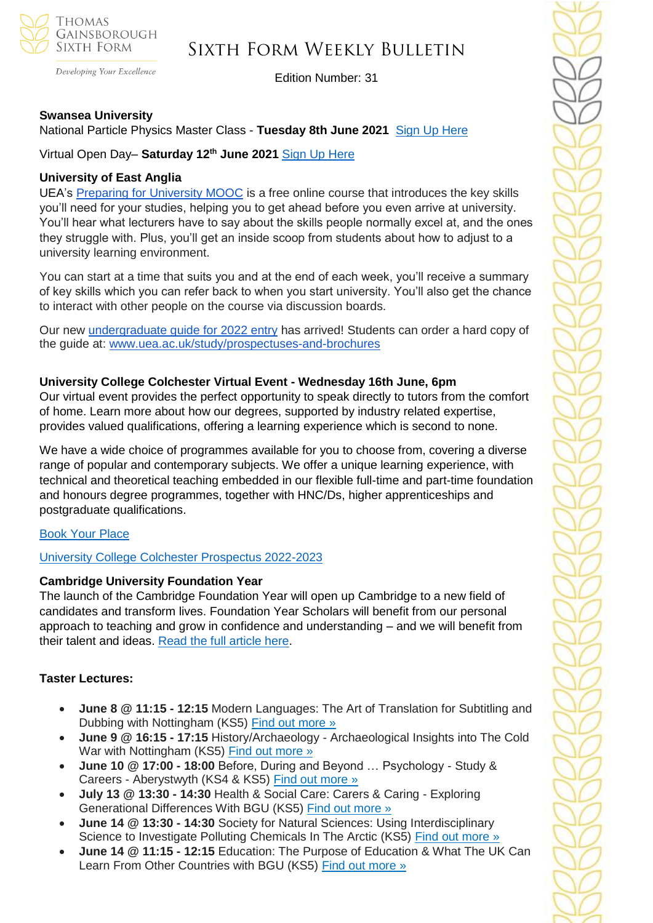

Developing Your Excellence

# Sixth Form Weekly Bulletin

Edition Number: 31

#### **Swansea University**

#### National Particle Physics Master Class - **Tuesday 8th June 2021** [Sign Up Here](https://www.swansea.ac.uk/physics/particle-physics-masterclass/?utm_campaign=12380421_SCHED_UG_ALL_COS_PHYSICS%20MASTERCLASS%20WEBINAR_20MAY21&utm_medium=email&utm_source=Swansea%20University%20Admin%20Office&dm_i=1SLH,7DCSL,3JEROL,TX390,1&utm_source=Head+of+Sixth+Free+Newsletter&utm_campaign=6b0ba44faa-Student+opportunities+-+24+May+2021&utm_medium=email&utm_term=0_36c44588b4-6b0ba44faa-115737769&mc_cid=6b0ba44faa&mc_eid=51b5a4fd55)

Virtual Open Day– **Saturday 12th June 2021** [Sign Up Here](https://www.swansea.ac.uk/open-days/?utm_campaign=12380421_SCHED_UG_ALL_COS_PHYSICS%20MASTERCLASS%20WEBINAR_20MAY21&utm_medium=email&utm_source=Swansea%20University%20Admin%20Office&dm_i=1SLH,7DCSL,3JEROL,TX390,1&utm_source=Head+of+Sixth+Free+Newsletter&utm_campaign=6b0ba44faa-Student+opportunities+-+24+May+2021&utm_medium=email&utm_term=0_36c44588b4-6b0ba44faa-115737769&mc_cid=6b0ba44faa&mc_eid=51b5a4fd55)

#### **University of East Anglia**

UEA's [Preparing for University MOOC](https://www.uea.ac.uk/study/information-for/young-people/preparing-for-university-mooc) is a free online course that introduces the key skills you'll need for your studies, helping you to get ahead before you even arrive at university. You'll hear what lecturers have to say about the skills people normally excel at, and the ones they struggle with. Plus, you'll get an inside scoop from students about how to adjust to a university learning environment.

You can start at a time that suits you and at the end of each week, you'll receive a summary of key skills which you can refer back to when you start university. You'll also get the chance to interact with other people on the course via discussion boards.

Our new [undergraduate guide for 2022 entry](https://www.uea.ac.uk/documents/20142/1686066/uea_undergraduate_entry_guide_2022-23.pdf/d9fdf807-fc81-5609-40bf-8d9104699ed2?t=1616086381349) has arrived! Students can order a hard copy of the guide at: [www.uea.ac.uk/study/prospectuses-and-brochures](https://www.uea.ac.uk/study/prospectuses-and-brochures)

#### **University College Colchester Virtual Event - Wednesday 16th June, 6pm**

Our virtual event provides the perfect opportunity to speak directly to tutors from the comfort of home. Learn more about how our degrees, supported by industry related expertise, provides valued qualifications, offering a learning experience which is second to none.

We have a wide choice of programmes available for you to choose from, covering a diverse range of popular and contemporary subjects. We offer a unique learning experience, with technical and theoretical teaching embedded in our flexible full-time and part-time foundation and honours degree programmes, together with HNC/Ds, higher apprenticeships and postgraduate qualifications.

#### [Book Your Place](https://www.colchester.ac.uk/ucc-virtual-open-event/?mc_cid=f600481d85&mc_eid=57ab836060)

#### [University College Colchester Prospectus 2022-2023](https://www.colchester.ac.uk/ucc-2022-23-prospectus/?mc_cid=f600481d85&mc_eid=57ab836060)

#### **Cambridge University Foundation Year**

The launch of the Cambridge Foundation Year will open up Cambridge to a new field of candidates and transform lives. Foundation Year Scholars will benefit from our personal approach to teaching and grow in confidence and understanding – and we will benefit from their talent and ideas. [Read the full article here.](https://magazine.alumni.cam.ac.uk/the-cambridge-foundation-year/)

#### **Taster Lectures:**

- **June 8 @ 11:15 - 12:15** Modern Languages: The Art of Translation for Subtitling and Dubbing with Nottingham (KS5) [Find out more »](https://channeltalent.us10.list-manage.com/track/click?u=145837fa6843e0c349598322a&id=d423cebb67&e=155232616c)
- **June 9 @ 16:15 - 17:15** History/Archaeology Archaeological Insights into The Cold War with Nottingham (KS5) [Find out more »](https://channeltalent.us10.list-manage.com/track/click?u=145837fa6843e0c349598322a&id=d2a86d12b3&e=155232616c)
- **June 10 @ 17:00 - 18:00** Before, During and Beyond … Psychology Study & Careers - Aberystwyth (KS4 & KS5) [Find out more »](https://channeltalent.us10.list-manage.com/track/click?u=145837fa6843e0c349598322a&id=01a3321e46&e=155232616c)
- **July 13 @ 13:30 - 14:30** Health & Social Care: Carers & Caring Exploring Generational Differences With BGU (KS5) [Find out more »](https://channeltalent.us10.list-manage.com/track/click?u=145837fa6843e0c349598322a&id=bd575db3aa&e=155232616c)
- **June 14 @ 13:30 - 14:30** Society for Natural Sciences: Using Interdisciplinary Science to Investigate Polluting Chemicals In The Arctic (KS5) [Find out more »](https://channeltalent.us10.list-manage.com/track/click?u=145837fa6843e0c349598322a&id=e17ad56575&e=155232616c)
- **June 14 @ 11:15 - 12:15** Education: The Purpose of Education & What The UK Can Learn From Other Countries with BGU (KS5) [Find out more »](https://channeltalent.us10.list-manage.com/track/click?u=145837fa6843e0c349598322a&id=699f393ffc&e=155232616c)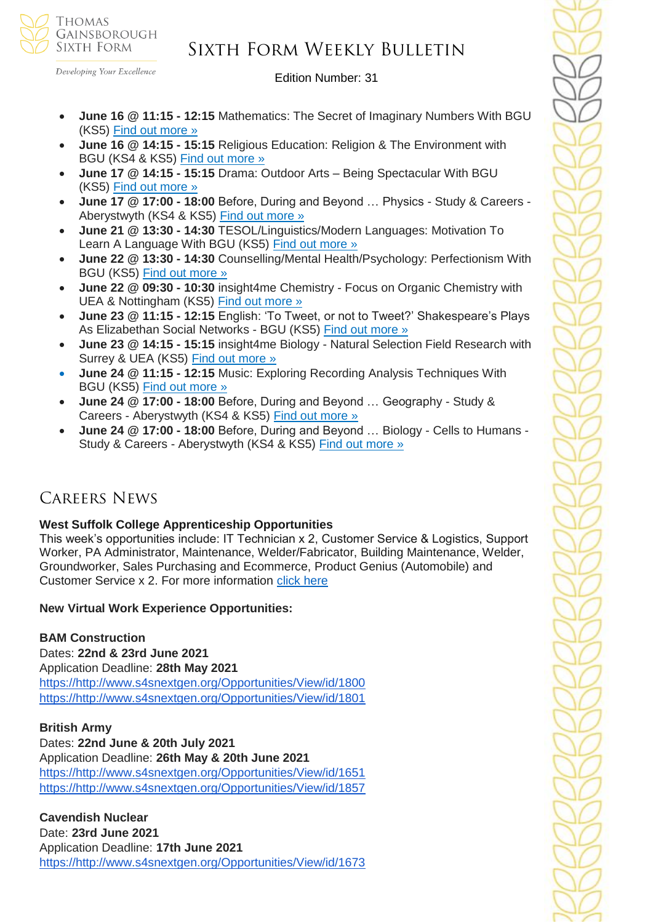

#### Developing Your Excellence

# Sixth Form Weekly Bulletin

Edition Number: 31

- **June 16 @ 11:15 - 12:15** Mathematics: The Secret of Imaginary Numbers With BGU (KS5) [Find out more »](https://channeltalent.us10.list-manage.com/track/click?u=145837fa6843e0c349598322a&id=5f3ffdca87&e=155232616c)
- **June 16 @ 14:15 - 15:15** Religious Education: Religion & The Environment with BGU (KS4 & KS5) [Find out more »](https://channeltalent.us10.list-manage.com/track/click?u=145837fa6843e0c349598322a&id=add6de3937&e=155232616c)
- **June 17 @ 14:15 - 15:15** Drama: Outdoor Arts Being Spectacular With BGU (KS5) [Find out more »](https://channeltalent.us10.list-manage.com/track/click?u=145837fa6843e0c349598322a&id=8511f5345f&e=155232616c)
- **June 17 @ 17:00 - 18:00** Before, During and Beyond … Physics Study & Careers Aberystwyth (KS4 & KS5) [Find out more »](https://channeltalent.us10.list-manage.com/track/click?u=145837fa6843e0c349598322a&id=3b9e9daf3f&e=ba0e9a2959)
- **June 21 @ 13:30 - 14:30** TESOL/Linguistics/Modern Languages: Motivation To Learn A Language With BGU (KS5) [Find out more »](https://channeltalent.us10.list-manage.com/track/click?u=145837fa6843e0c349598322a&id=bb1e9e9b2f&e=155232616c)
- **June 22 @ 13:30 - 14:30** Counselling/Mental Health/Psychology: Perfectionism With BGU (KS5) [Find out more »](https://channeltalent.us10.list-manage.com/track/click?u=145837fa6843e0c349598322a&id=c745656644&e=155232616c)
- **June 22 @ 09:30 - 10:30** insight4me Chemistry Focus on Organic Chemistry with UEA & Nottingham (KS5) [Find out more »](https://channeltalent.us10.list-manage.com/track/click?u=145837fa6843e0c349598322a&id=5f5f269aa7&e=ba0e9a2959)
- **June 23 @ 11:15 - 12:15** English: 'To Tweet, or not to Tweet?' Shakespeare's Plays As Elizabethan Social Networks - BGU (KS5) [Find out more »](https://channeltalent.us10.list-manage.com/track/click?u=145837fa6843e0c349598322a&id=a8a3939364&e=155232616c)
- **June 23 @ 14:15 - 15:15** insight4me Biology Natural Selection Field Research with Surrey & UEA (KS5) [Find out more »](https://channeltalent.us10.list-manage.com/track/click?u=145837fa6843e0c349598322a&id=eb0038d79b&e=ba0e9a2959)
- **June 24 @ 11:15 - 12:15** Music: Exploring Recording Analysis Techniques With BGU (KS5) [Find out more »](https://channeltalent.us10.list-manage.com/track/click?u=145837fa6843e0c349598322a&id=8ca73cd181&e=155232616c)
- **June 24 @ 17:00 - 18:00** Before, During and Beyond … Geography Study & Careers - Aberystwyth (KS4 & KS5) [Find out more »](https://channeltalent.us10.list-manage.com/track/click?u=145837fa6843e0c349598322a&id=09c5a8b01e&e=ba0e9a2959)
- **June 24 @ 17:00 - 18:00** Before, During and Beyond … Biology Cells to Humans Study & Careers - Aberystwyth (KS4 & KS5) [Find out more »](https://channeltalent.us10.list-manage.com/track/click?u=145837fa6843e0c349598322a&id=3c92be5a11&e=ba0e9a2959)

### Careers News

#### **West Suffolk College Apprenticeship Opportunities**

This week's opportunities include: IT Technician x 2, Customer Service & Logistics, Support Worker, PA Administrator, Maintenance, Welder/Fabricator, Building Maintenance, Welder, Groundworker, Sales Purchasing and Ecommerce, Product Genius (Automobile) and Customer Service x 2. For more information [click here](https://apprenticeships.wsc.ac.uk/)

#### **New Virtual Work Experience Opportunities:**

#### **BAM Construction**

Dates: **22nd & 23rd June 2021** Application Deadline: **28th May 2021** [https://http://www.s4snextgen.org/Opportunities/View/id/1800](https://http/www.s4snextgen.org/Opportunities/View/id/1800) [https://http://www.s4snextgen.org/Opportunities/View/id/1801](https://http/www.s4snextgen.org/Opportunities/View/id/1801)

#### **British Army**

Dates: **22nd June & 20th July 2021** Application Deadline: **26th May & 20th June 2021** [https://http://www.s4snextgen.org/Opportunities/View/id/1651](https://http/www.s4snextgen.org/Opportunities/View/id/1651) [https://http://www.s4snextgen.org/Opportunities/View/id/1857](https://http/www.s4snextgen.org/Opportunities/View/id/1857)

#### **Cavendish Nuclear**  Date: **23rd June 2021** Application Deadline: **17th June 2021** [https://http://www.s4snextgen.org/Opportunities/View/id/1673](https://http/www.s4snextgen.org/Opportunities/View/id/1673)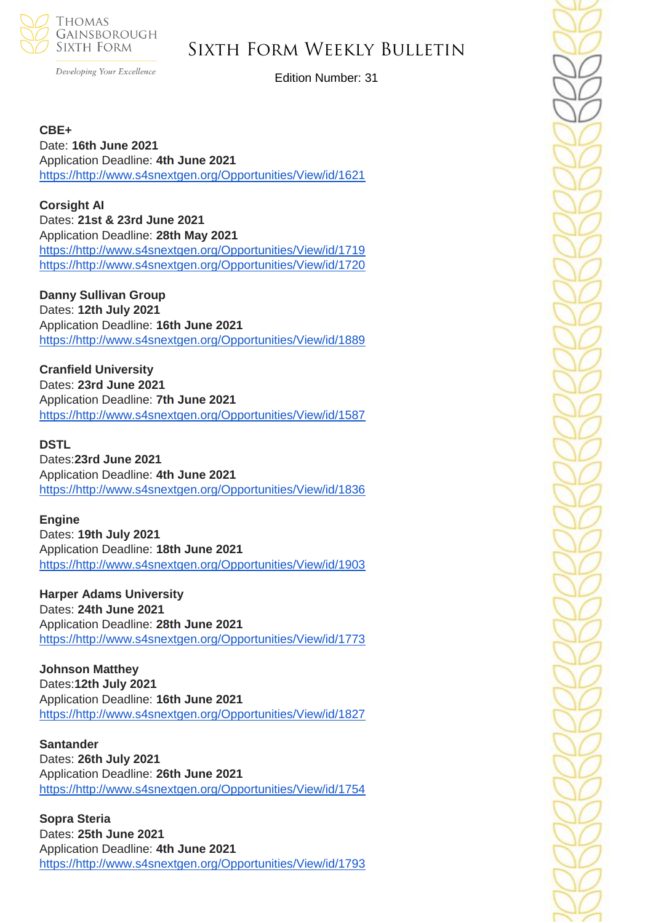

# Sixth Form Weekly Bulletin

Developing Your Excellence

Edition Number: 31

**CBE+** Date: **16th June 2021** Application Deadline: **4th June 2021** [https://http://www.s4snextgen.org/Opportunities/View/id/1621](https://http/www.s4snextgen.org/Opportunities/View/id/1621)

**Corsight AI** Dates: **21st & 23rd June 2021** Application Deadline: **28th May 2021** [https://http://www.s4snextgen.org/Opportunities/View/id/1719](https://http/www.s4snextgen.org/Opportunities/View/id/1719) [https://http://www.s4snextgen.org/Opportunities/View/id/1720](https://http/www.s4snextgen.org/Opportunities/View/id/1720)

**Danny Sullivan Group** Dates: **12th July 2021** Application Deadline: **16th June 2021** [https://http://www.s4snextgen.org/Opportunities/View/id/1889](https://http/www.s4snextgen.org/Opportunities/View/id/1889)

**Cranfield University** Dates: **23rd June 2021** Application Deadline: **7th June 2021** [https://http://www.s4snextgen.org/Opportunities/View/id/1587](https://http/www.s4snextgen.org/Opportunities/View/id/1587)

**DSTL**

Dates:**23rd June 2021** Application Deadline: **4th June 2021** [https://http://www.s4snextgen.org/Opportunities/View/id/1836](https://http/www.s4snextgen.org/Opportunities/View/id/1836)

**Engine**

Dates: **19th July 2021** Application Deadline: **18th June 2021** [https://http://www.s4snextgen.org/Opportunities/View/id/1903](https://http/www.s4snextgen.org/Opportunities/View/id/1903)

**Harper Adams University** Dates: **24th June 2021** Application Deadline: **28th June 2021** [https://http://www.s4snextgen.org/Opportunities/View/id/1773](https://http/www.s4snextgen.org/Opportunities/View/id/1773)

**Johnson Matthey** Dates:**12th July 2021** Application Deadline: **16th June 2021** [https://http://www.s4snextgen.org/Opportunities/View/id/1827](https://http/www.s4snextgen.org/Opportunities/View/id/1827)

**Santander** Dates: **26th July 2021** Application Deadline: **26th June 2021** [https://http://www.s4snextgen.org/Opportunities/View/id/1754](https://http/www.s4snextgen.org/Opportunities/View/id/1754)

**Sopra Steria** Dates: **25th June 2021** Application Deadline: **4th June 2021** [https://http://www.s4snextgen.org/Opportunities/View/id/1793](https://http/www.s4snextgen.org/Opportunities/View/id/1793)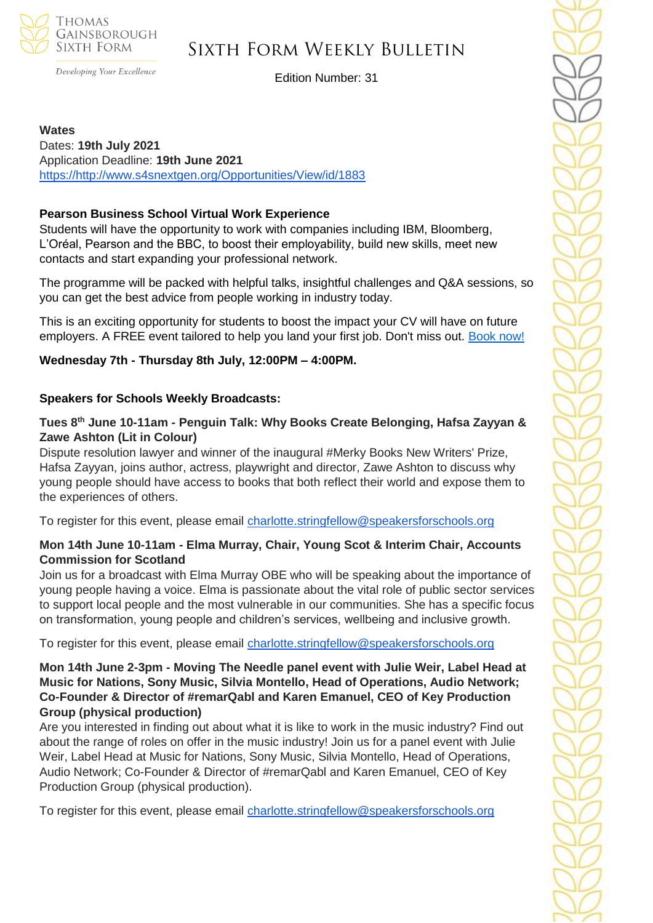

Developing Your Excellence

# Sixth Form Weekly Bulletin

Edition Number: 31

**Wates** Dates: **19th July 2021** Application Deadline: **19th June 2021** [https://http://www.s4snextgen.org/Opportunities/View/id/1883](https://http/www.s4snextgen.org/Opportunities/View/id/1883)

#### **Pearson Business School Virtual Work Experience**

Students will have the opportunity to work with companies including IBM, Bloomberg, L'Oréal, Pearson and the BBC, to boost their employability, build new skills, meet new contacts and start expanding your professional network.

The programme will be packed with helpful talks, insightful challenges and Q&A sessions, so you can get the best advice from people working in industry today.

This is an exciting opportunity for students to boost the impact your CV will have on future employers. A FREE event tailored to help you land your first job. Don't miss out. [Book now!](https://www.pearsoncollegelondon.ac.uk/pearson-business-school/visit-us/events/virtual-work-experience.html?utm_source=unitasterdays&utm_medium=email&utm_content=virtualworkexperience2021_launch)

### **Wednesday 7th - Thursday 8th July, 12:00PM – 4:00PM.**

#### **Speakers for Schools Weekly Broadcasts:**

#### **Tues 8th June 10-11am - Penguin Talk: Why Books Create Belonging, Hafsa Zayyan & Zawe Ashton (Lit in Colour)**

Dispute resolution lawyer and winner of the inaugural #Merky Books New Writers' Prize, Hafsa Zayyan, joins author, actress, playwright and director, Zawe Ashton to discuss why young people should have access to books that both reflect their world and expose them to the experiences of others.

To register for this event, please email [charlotte.stringfellow@speakersforschools.org](mailto:charlotte.stringfellow@speakersforschools.org)

#### **Mon 14th June 10-11am - Elma Murray, Chair, Young Scot & Interim Chair, Accounts Commission for Scotland**

Join us for a broadcast with Elma Murray OBE who will be speaking about the importance of young people having a voice. Elma is passionate about the vital role of public sector services to support local people and the most vulnerable in our communities. She has a specific focus on transformation, young people and children's services, wellbeing and inclusive growth.

To register for this event, please email [charlotte.stringfellow@speakersforschools.org](mailto:charlotte.stringfellow@speakersforschools.org)

#### **Mon 14th June 2-3pm - Moving The Needle panel event with Julie Weir, Label Head at Music for Nations, Sony Music, Silvia Montello, Head of Operations, Audio Network; Co-Founder & Director of #remarQabl and Karen Emanuel, CEO of Key Production Group (physical production)**

Are you interested in finding out about what it is like to work in the music industry? Find out about the range of roles on offer in the music industry! Join us for a panel event with Julie Weir, Label Head at Music for Nations, Sony Music, Silvia Montello, Head of Operations, Audio Network; Co-Founder & Director of #remarQabl and Karen Emanuel, CEO of Key Production Group (physical production).

To register for this event, please email [charlotte.stringfellow@speakersforschools.org](mailto:charlotte.stringfellow@speakersforschools.org)